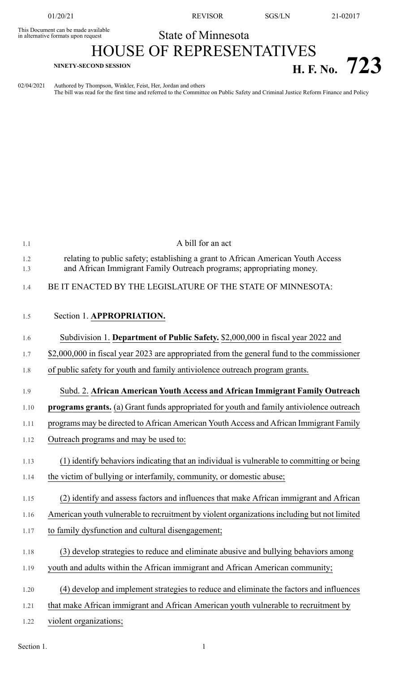This Document can be made available<br>in alternative formats upon request

01/20/21 REVISOR SGS/LN 21-02017

## State of Minnesota

## HOUSE OF REPRESENTATIVES **H. F. No.**  $723$

02/04/2021 Authored by Thompson, Winkler, Feist, Her, Jordan and others The bill was read for the first time and referred to the Committee on Public Safety and Criminal Justice Reform Finance and Policy

| 1.1        | A bill for an act                                                                                                                                        |
|------------|----------------------------------------------------------------------------------------------------------------------------------------------------------|
| 1.2<br>1.3 | relating to public safety; establishing a grant to African American Youth Access<br>and African Immigrant Family Outreach programs; appropriating money. |
| 1.4        | BE IT ENACTED BY THE LEGISLATURE OF THE STATE OF MINNESOTA:                                                                                              |
| 1.5        | Section 1. APPROPRIATION.                                                                                                                                |
| 1.6        | Subdivision 1. Department of Public Safety. \$2,000,000 in fiscal year 2022 and                                                                          |
| 1.7        | \$2,000,000 in fiscal year 2023 are appropriated from the general fund to the commissioner                                                               |
| 1.8        | of public safety for youth and family antiviolence outreach program grants.                                                                              |
| 1.9        | Subd. 2. African American Youth Access and African Immigrant Family Outreach                                                                             |
| 1.10       | <b>programs grants.</b> (a) Grant funds appropriated for youth and family antiviolence outreach                                                          |
| 1.11       | programs may be directed to African American Youth Access and African Immigrant Family                                                                   |
| 1.12       | Outreach programs and may be used to:                                                                                                                    |
| 1.13       | (1) identify behaviors indicating that an individual is vulnerable to committing or being                                                                |
| 1.14       | the victim of bullying or interfamily, community, or domestic abuse;                                                                                     |
| 1.15       | (2) identify and assess factors and influences that make African immigrant and African                                                                   |
| 1.16       | American youth vulnerable to recruitment by violent organizations including but not limited                                                              |
| 1.17       | to family dysfunction and cultural disengagement;                                                                                                        |
| 1.18       | (3) develop strategies to reduce and eliminate abusive and bullying behaviors among                                                                      |
| 1.19       | youth and adults within the African immigrant and African American community;                                                                            |
| 1.20       | (4) develop and implement strategies to reduce and eliminate the factors and influences                                                                  |
| 1.21       | that make African immigrant and African American youth vulnerable to recruitment by                                                                      |
| 1.22       | violent organizations;                                                                                                                                   |